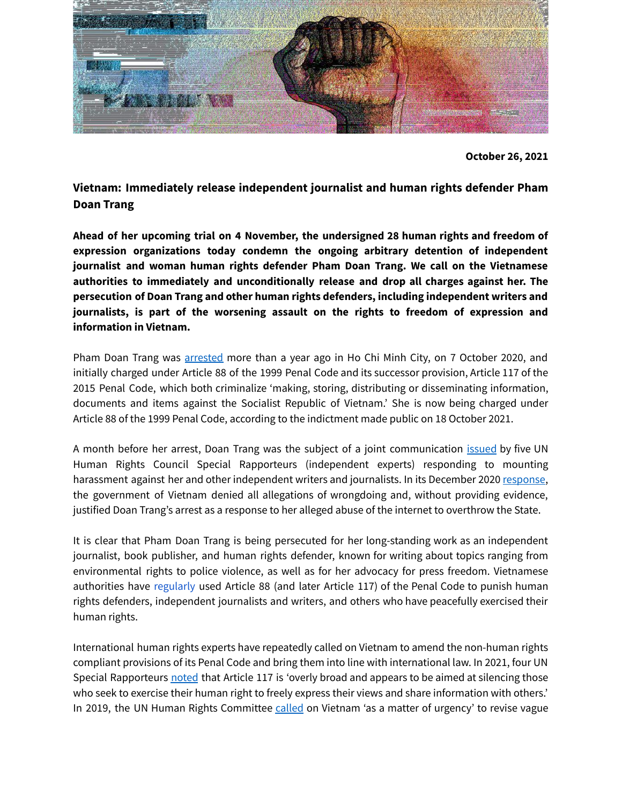

**Vietnam: Immediately release independent journalist and human rights defender Pham Doan Trang**

**Ahead of her upcoming trial on 4 November, the undersigned 28 human rights and freedom of expression organizations today condemn the ongoing arbitrary detention of independent journalist and woman human rights defender Pham Doan Trang. We call on the Vietnamese authorities to immediately and unconditionally release and drop all charges against her. The persecution of Doan Trang and other human rights defenders, including independent writers and journalists, is part of the worsening assault on the rights to freedom of expression and information in Vietnam.**

Pham Doan Trang was [arrested](https://www.voanews.com/a/press-freedom_rights-groups-deplore-arrest-vietnam-writer-and-activist-pham-doan-trang/6196876.html) more than a year ago in Ho Chi Minh City, on 7 October 2020, and initially charged under Article 88 of the 1999 Penal Code and its successor provision, Article 117 of the 2015 Penal Code, which both criminalize 'making, storing, distributing or disseminating information, documents and items against the Socialist Republic of Vietnam.' She is now being charged under Article 88 of the 1999 Penal Code, according to the indictment made public on 18 October 2021.

A month before her arrest, Doan Trang was the subject of a joint communication [issued](https://spcommreports.ohchr.org/TMResultsBase/DownLoadPublicCommunicationFile?gId=25542) by five UN Human Rights Council Special Rapporteurs (independent experts) responding to mounting harassment against her and other independent writers and journalists. In its December 2020 [response,](https://spcommreports.ohchr.org/TMResultsBase/DownLoadFile?gId=35828) the government of Vietnam denied all allegations of wrongdoing and, without providing evidence, justified Doan Trang's arrest as a response to her alleged abuse of the internet to overthrow the State.

It is clear that Pham Doan Trang is being persecuted for her long-standing work as an independent journalist, book publisher, and human rights defender, known for writing about topics ranging from environmental rights to police violence, as well as for her advocacy for press freedom. Vietnamese authorities have [regularly](https://www.article19.org/resources/vietnam-convictions-for-social-media-use/) used Article 88 (and later Article 117) of the Penal Code to punish human rights defenders, independent journalists and writers, and others who have peacefully exercised their human rights.

International human rights experts have repeatedly called on Vietnam to amend the non-human rights compliant provisions of its Penal Code and bring them into line with international law. In 2021, four UN Special Rapporteurs [noted](https://www.ohchr.org/EN/NewsEvents/Pages/DisplayNews.aspx?NewsID=26661&LangID=E) that Article 117 is 'overly broad and appears to be aimed at silencing those who seek to exercise their human right to freely express their views and share information with others.' In 2019, the UN Human Rights Committee [called](https://undocs.org/en/CCPR/C/VNM/CO/3) on Vietnam 'as a matter of urgency' to revise vague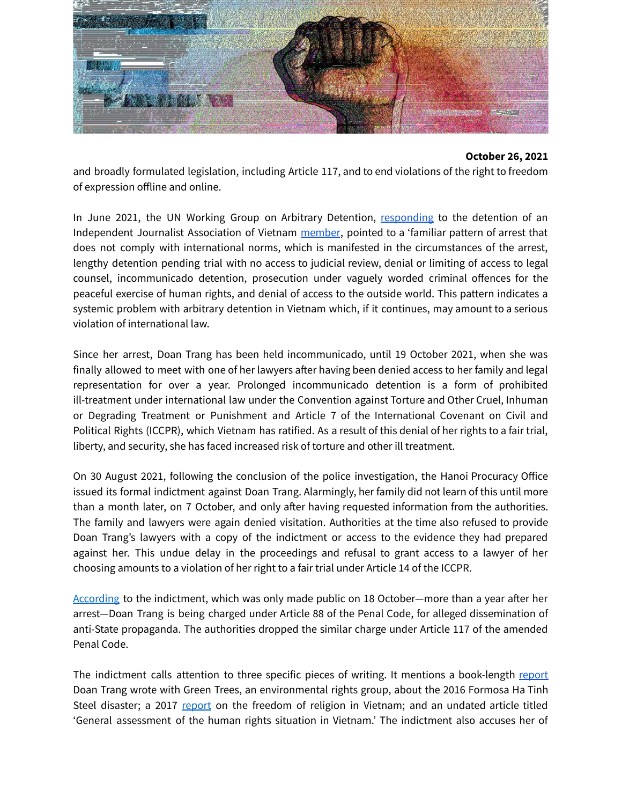

and broadly formulated legislation, including Article 117, and to end violations of the right to freedom of expression offline and online.

In June 2021, the UN Working Group on Arbitrary Detention, [responding](https://www.ohchr.org/Documents/Issues/Detention/Opinions/Session90/A_HRC_WGAD_2021_11.docx) to the detention of an Independent Journalist Association of Vietnam [member](https://the88project.org/profile/490/le-huu-minh-tuan/), pointed to a 'familiar pattern of arrest that does not comply with international norms, which is manifested in the circumstances of the arrest, lengthy detention pending trial with no access to judicial review, denial or limiting of access to legal counsel, incommunicado detention, prosecution under vaguely worded criminal offences for the peaceful exercise of human rights, and denial of access to the outside world. This pattern indicates a systemic problem with arbitrary detention in Vietnam which, if it continues, may amount to a serious violation of international law.

Since her arrest, Doan Trang has been held incommunicado, until 19 October 2021, when she was finally allowed to meet with one of her lawyers after having been denied access to her family and legal representation for over a year. Prolonged incommunicado detention is a form of prohibited ill-treatment under international law under the Convention against Torture and Other Cruel, Inhuman or Degrading Treatment or Punishment and Article 7 of the International Covenant on Civil and Political Rights (ICCPR), which Vietnam has ratified. As a result of this denial of her rights to a fair trial, liberty, and security, she has faced increased risk of torture and other ill treatment.

On 30 August 2021, following the conclusion of the police investigation, the Hanoi Procuracy Office issued its formal indictment against Doan Trang. Alarmingly, her family did not learn of this until more than a month later, on 7 October, and only after having requested information from the authorities. The family and lawyers were again denied visitation. Authorities at the time also refused to provide Doan Trang's lawyers with a copy of the indictment or access to the evidence they had prepared against her. This undue delay in the proceedings and refusal to grant access to a lawyer of her choosing amounts to a violation of her right to a fair trial under Article 14 of the ICCPR.

[According](https://www.vietnamplus.vn/sap-xet-xu-pham-thi-doan-trang-ve-hanh-vi-tuyen-truyen-chong-nha-nuoc/747497.vnp) to the indictment, which was only made public on 18 October—more than a year after her arrest—Doan Trang is being charged under Article 88 of the Penal Code, for alleged dissemination of anti-State propaganda. The authorities dropped the similar charge under Article 117 of the amended Penal Code.

The indictment calls attention to three specific pieces of writing. It mentions a book-length [report](https://doantrang.liv.ngo/an-overview-of-the-marine-life-disaster-in-vietnam/) Doan Trang wrote with Green Trees, an environmental rights group, about the 2016 Formosa Ha Tinh Steel disaster; a 2017 [report](https://3axzii1c65q0b073i2mogga1-wpengine.netdna-ssl.com/wp-content/uploads/2017/11/Report_on_FoR_Vietnam_10_2017.pdf) on the freedom of religion in Vietnam; and an undated article titled 'General assessment of the human rights situation in Vietnam.' The indictment also accuses her of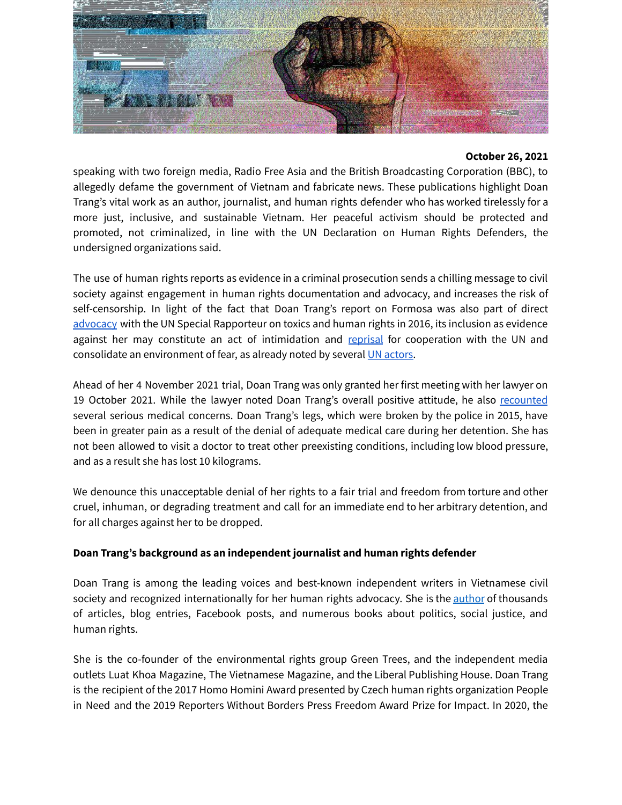

speaking with two foreign media, Radio Free Asia and the British Broadcasting Corporation (BBC), to allegedly defame the government of Vietnam and fabricate news. These publications highlight Doan Trang's vital work as an author, journalist, and human rights defender who has worked tirelessly for a more just, inclusive, and sustainable Vietnam. Her peaceful activism should be protected and promoted, not criminalized, in line with the UN Declaration on Human Rights Defenders, the undersigned organizations said.

The use of human rights reports as evidence in a criminal prosecution sends a chilling message to civil society against engagement in human rights documentation and advocacy, and increases the risk of self-censorship. In light of the fact that Doan Trang's report on Formosa was also part of direct [advocacy](https://www.facebook.com/greentreesVN/photos/275141979555701) with the UN Special Rapporteur on toxics and human rights in 2016, its inclusion as evidence against her may constitute an act of intimidation and [reprisal](https://www.ohchr.org/EN/HRBodies/SP/Pages/Actsofintimidationandreprisal.aspx) for cooperation with the UN and consolidate an environment of fear, as already noted by several UN [actors.](https://www.ohchr.org/EN/Issues/Reprisals/Pages/Reporting.aspx)

Ahead of her 4 November 2021 trial, Doan Trang was only granted her first meeting with her lawyer on 19 October 2021. While the lawyer noted Doan Trang's overall positive attitude, he also [recounted](https://www.facebook.com/100007013826421/posts/3071738169736614/?d=n) several serious medical concerns. Doan Trang's legs, which were broken by the police in 2015, have been in greater pain as a result of the denial of adequate medical care during her detention. She has not been allowed to visit a doctor to treat other preexisting conditions, including low blood pressure, and as a result she has lost 10 kilograms.

We denounce this unacceptable denial of her rights to a fair trial and freedom from torture and other cruel, inhuman, or degrading treatment and call for an immediate end to her arbitrary detention, and for all charges against her to be dropped.

## **Doan Trang's background as an independent journalist and human rights defender**

Doan Trang is among the leading voices and best-known independent writers in Vietnamese civil society and recognized internationally for her human rights advocacy. She is the [author](https://doantrang.liv.ngo/tag/publications/) of thousands of articles, blog entries, Facebook posts, and numerous books about politics, social justice, and human rights.

She is the co-founder of the environmental rights group Green Trees, and the independent media outlets Luat Khoa Magazine, The Vietnamese Magazine, and the Liberal Publishing House. Doan Trang is the recipient of the 2017 Homo Homini Award presented by Czech human rights organization People in Need and the 2019 Reporters Without Borders Press Freedom Award Prize for Impact. In 2020, the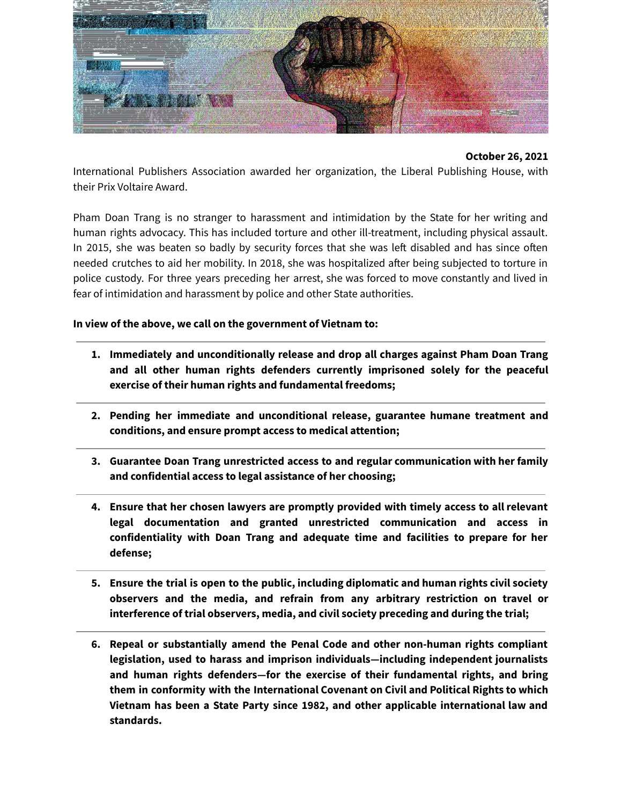

International Publishers Association awarded her organization, the Liberal Publishing House, with their Prix Voltaire Award.

Pham Doan Trang is no stranger to harassment and intimidation by the State for her writing and human rights advocacy. This has included torture and other ill-treatment, including physical assault. In 2015, she was beaten so badly by security forces that she was left disabled and has since often needed crutches to aid her mobility. In 2018, she was hospitalized after being subjected to torture in police custody. For three years preceding her arrest, she was forced to move constantly and lived in fear of intimidation and harassment by police and other State authorities.

**In view of the above, we call on the government of Vietnam to:**

- **1. Immediately and unconditionally release and drop all charges against Pham Doan Trang and all other human rights defenders currently imprisoned solely for the peaceful exercise of their human rights and fundamental freedoms;**
- **2. Pending her immediate and unconditional release, guarantee humane treatment and conditions, and ensure prompt access to medical attention;**
- **3. Guarantee Doan Trang unrestricted access to and regular communication with her family and confidential access to legal assistance of her choosing;**
- **4. Ensure that her chosen lawyers are promptly provided with timely access to all relevant legal documentation and granted unrestricted communication and access in confidentiality with Doan Trang and adequate time and facilities to prepare for her defense;**
- **5. Ensure the trial is open to the public, including diplomatic and human rights civil society observers and the media, and refrain from any arbitrary restriction on travel or interference of trial observers, media, and civil society preceding and during the trial;**
- **6. Repeal or substantially amend the Penal Code and other non-human rights compliant legislation, used to harass and imprison individuals—including independent journalists and human rights defenders—for the exercise of their fundamental rights, and bring them in conformity with the International Covenant on Civil and Political Rights to which Vietnam has been a State Party since 1982, and other applicable international law and standards.**